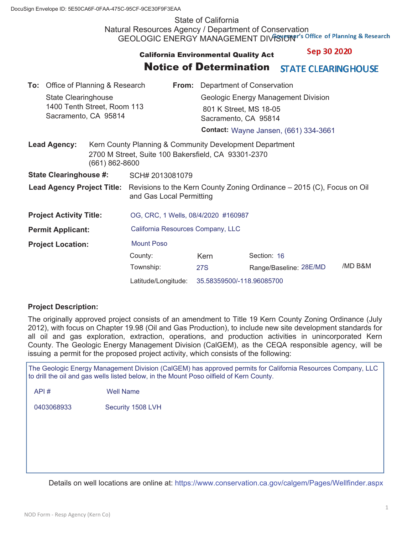# State of California Natural Resources Agency / Department of Conservation GEOLOGIC ENERGY MANAGEMENT DIVISION"'s Office of Planning & Research

### Sep 30 2020 **California Environmental Quality Act**

#### Notice of Determination **STATE CLEARING HOUSE**

| <b>To:</b> Office of Planning & Research |                                                                                   |                                                                                                                |                                                                                                    | <b>From:</b> Department of Conservation      |                                                                                       |                        |         |  |
|------------------------------------------|-----------------------------------------------------------------------------------|----------------------------------------------------------------------------------------------------------------|----------------------------------------------------------------------------------------------------|----------------------------------------------|---------------------------------------------------------------------------------------|------------------------|---------|--|
|                                          | <b>State Clearinghouse</b><br>1400 Tenth Street, Room 113<br>Sacramento, CA 95814 |                                                                                                                |                                                                                                    |                                              | Geologic Energy Management Division<br>801 K Street, MS 18-05<br>Sacramento, CA 95814 |                        |         |  |
|                                          |                                                                                   |                                                                                                                |                                                                                                    | <b>Contact: Wayne Jansen, (661) 334-3661</b> |                                                                                       |                        |         |  |
| <b>Lead Agency:</b><br>(661) 862-8600    |                                                                                   | Kern County Planning & Community Development Department<br>2700 M Street, Suite 100 Bakersfield, CA 93301-2370 |                                                                                                    |                                              |                                                                                       |                        |         |  |
| <b>State Clearinghouse #:</b>            |                                                                                   | SCH# 2013081079                                                                                                |                                                                                                    |                                              |                                                                                       |                        |         |  |
| <b>Lead Agency Project Title:</b>        |                                                                                   |                                                                                                                | Revisions to the Kern County Zoning Ordinance – 2015 (C), Focus on Oil<br>and Gas Local Permitting |                                              |                                                                                       |                        |         |  |
| <b>Project Activity Title:</b>           |                                                                                   |                                                                                                                | OG, CRC, 1 Wells, 08/4/2020 #160987                                                                |                                              |                                                                                       |                        |         |  |
| <b>Permit Applicant:</b>                 |                                                                                   |                                                                                                                | California Resources Company, LLC                                                                  |                                              |                                                                                       |                        |         |  |
| <b>Project Location:</b>                 |                                                                                   | <b>Mount Poso</b>                                                                                              |                                                                                                    |                                              |                                                                                       |                        |         |  |
|                                          |                                                                                   |                                                                                                                | County:                                                                                            |                                              | Kern                                                                                  | Section: 16            |         |  |
|                                          |                                                                                   |                                                                                                                | Township:                                                                                          |                                              | 27S                                                                                   | Range/Baseline: 28E/MD | /MD B&M |  |
|                                          |                                                                                   | Latitude/Longitude:                                                                                            |                                                                                                    | 35.58359500/-118.96085700                    |                                                                                       |                        |         |  |

### **Project Description:**

The originally approved project consists of an amendment to Title 19 Kern County Zoning Ordinance (July 2012), with focus on Chapter 19.98 (Oil and Gas Production), to include new site development standards for all oil and gas exploration, extraction, operations, and production activities in unincorporated Kern County. The Geologic Energy Management Division (CalGEM), as the CEQA responsible agency, will be issuing a permit for the proposed project activity, which consists of the following:

The Geologic Energy Management Division (CalGEM) has approved permits for California Resources Company, LLC to drill the oil and gas wells listed below, in the Mount Poso oilfield of Kern County.

API # Well Name

0403068933 Security 1508 LVH

Details on well locations are online at: https://www.conservation.ca.gov/calgem/Pages/Wellfinder.aspx